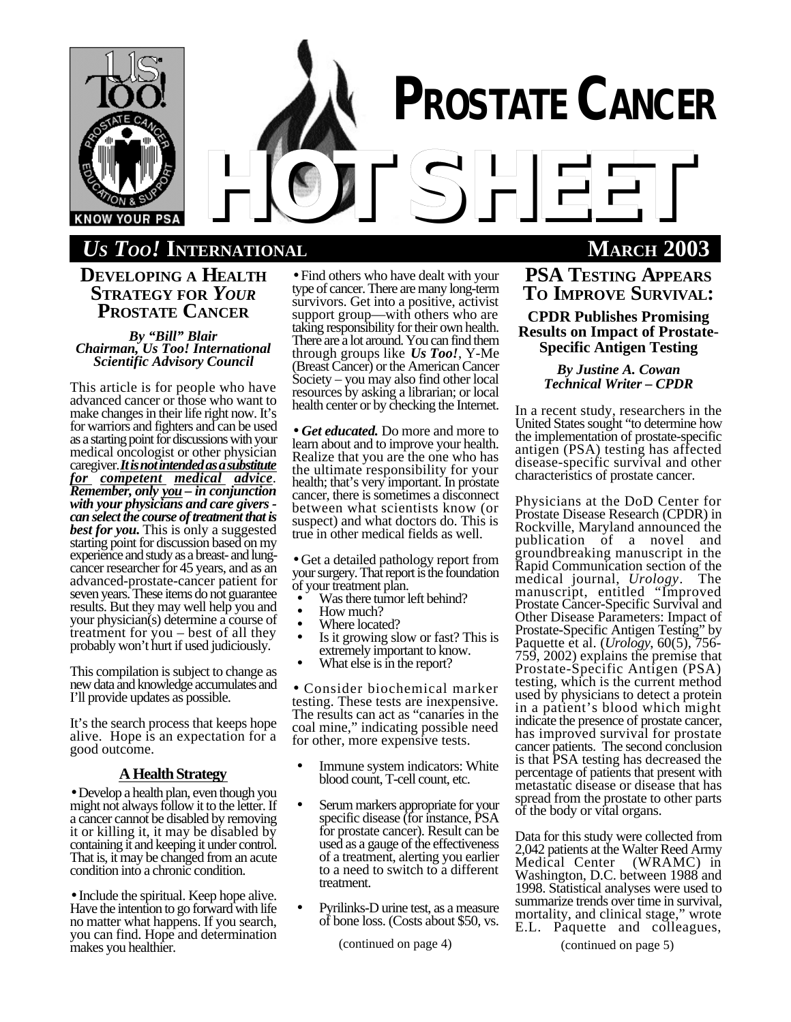

# *US TOO!* **INTERNATIONAL MARCH 2003**

**DEVELOPING A HEALTH STRATEGY FOR** *YOUR* **PROSTATE CANCER**

*By "Bill" Blair Chairman, Us Too! International Scientific Advisory Council*

This article is for people who have advanced cancer or those who want to make changes in their life right now. It's for warriors and fighters and can be used as a starting point for discussions with your medical oncologist or other physician caregiver. It is not intended as a substitute *for competent medical advice. Remember, only you – in conjunction with your physicians and care givers can select the course of treatment that is best for you.* This is only a suggested starting point for discussion based on my experience and study as a breast- and lungcancer researcher for 45 years, and as an advanced-prostate-cancer patient for seven years. These items do not guarantee results. But they may well help you and your physician(s) determine a course of treatment for you – best of all they probably won't hurt if used judiciously.

This compilation is subject to change as new data and knowledge accumulates and I'll provide updates as possible.

It's the search process that keeps hope alive. Hope is an expectation for a good outcome.

### **AHealthStrategy**

• Develop a health plan, even though you might not always follow it to the letter. If a cancer cannot be disabled by removing it or killing it, it may be disabled by containing it and keeping it under control. That is, it may be changed from an acute condition into a chronic condition.

• Include the spiritual. Keep hope alive. Have the intention to go forward with life no matter what happens. If you search, you can find. Hope and determination makes you healthier.

• Find others who have dealt with your type of cancer. There are many long-term survivors. Get into a positive, activist support group—with others who are taking responsibility for their own health. There are a lot around. You can find them through groups like *Us Too!*, Y-Me (Breast Cancer) or the American Cancer Society – you may also find other local resources by asking a librarian; or local health center or by checking the Internet.

• *Get educated.* Do more and more to learn about and to improve your health. Realize that you are the one who has the ultimate responsibility for your health; that's very important. In prostate cancer, there is sometimes a disconnect between what scientists know (or suspect) and what doctors do. This is true in other medical fields as well.

• Get a detailed pathology report from your surgery. That report is the foundation of your treatment plan.

- Was there tumor left behind?
- How much?
- Where located?
- Is it growing slow or fast? This is extremely important to know.
- What else is in the report?

• Consider biochemical marker testing. These tests are inexpensive. The results can act as "canaries in the coal mine," indicating possible need for other, more expensive tests.

- Immune system indicators: White blood count, T-cell count, etc.
- Serum markers appropriate for your specific disease (for instance, PSA for prostate cancer). Result can be used as a gauge of the effectiveness of a treatment, alerting you earlier to a need to switch to a different treatment.
- Pyrilinks-D urine test, as a measure of bone loss. (Costs about \$50, vs.

(continued on page 4) (continued on page 5)

**PSA TESTING APPEARS TO IMPROVE SURVIVAL: CPDR Publishes Promising Results on Impact of Prostate-Specific Antigen Testing**

> *By Justine A. Cowan Technical Writer – CPDR*

In a recent study, researchers in the United States sought "to determine how the implementation of prostate-specific antigen (PSA) testing has affected disease-specific survival and other characteristics of prostate cancer.

Physicians at the DoD Center for Prostate Disease Research (CPDR) in Rockville, Maryland announced the publication of a novel and groundbreaking manuscript in the Rapid Communication section of the medical journal, *Urology*. The manuscript, entitled "Improved Prostate Cancer-Specific Survival and Other Disease Parameters: Impact of Prostate-Specific Antigen Testing" by Paquette et al. (*Urology*, 60(5), 756- 759, 2002) explains the premise that Prostate-Specific Antigen (PSA) testing, which is the current method used by physicians to detect a protein in a patient's blood which might indicate the presence of prostate cancer, has improved survival for prostate cancer patients. The second conclusion is that PSA testing has decreased the percentage of patients that present with metastatic disease or disease that has spread from the prostate to other parts of the body or vital organs.

Data for this study were collected from 2,042 patients at the Walter Reed Army<br>Medical Center (WRAMC) in Medical Center Washington, D.C. between 1988 and 1998. Statistical analyses were used to summarize trends over time in survival, mortality, and clinical stage," wrote E.L. Paquette and colleagues,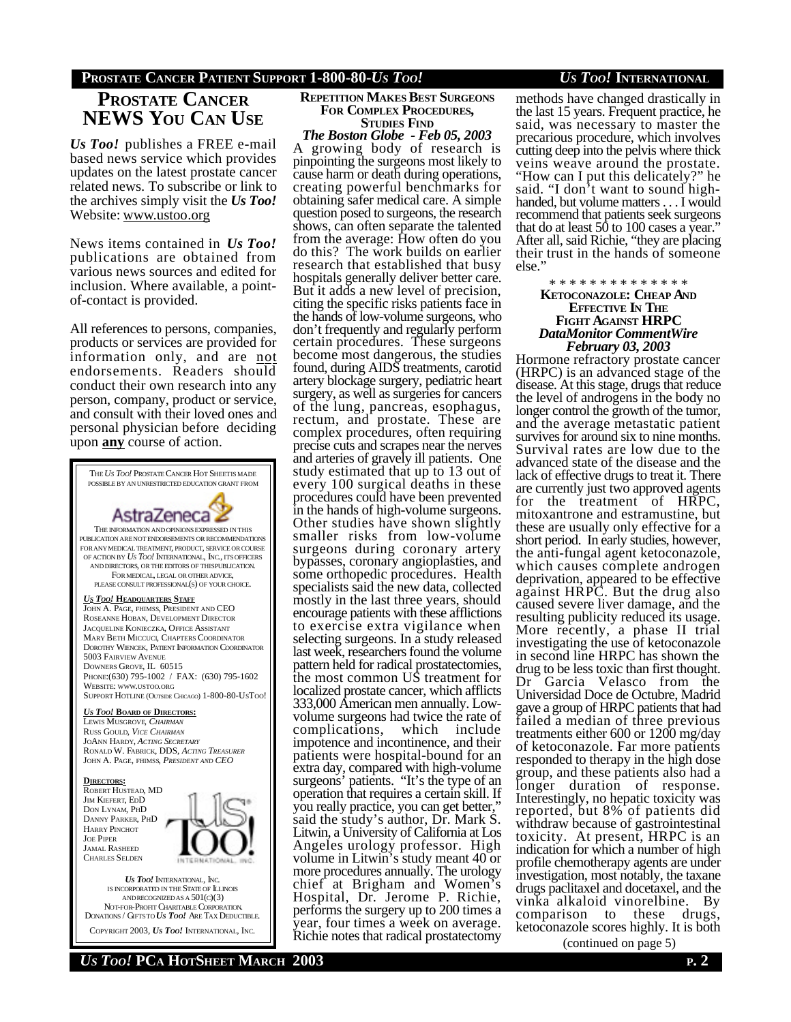## **PROSTATE CANCER NEWS YOU CAN USE**

*Us Too!* publishes a FREE e-mail based news service which provides updates on the latest prostate cancer related news. To subscribe or link to the archives simply visit the *Us Too!* Website: www.ustoo.org

News items contained in *Us Too!* publications are obtained from various news sources and edited for inclusion. Where available, a pointof-contact is provided.

All references to persons, companies, products or services are provided for information only, and are not endorsements. Readers should conduct their own research into any person, company, product or service, and consult with their loved ones and personal physician before deciding upon **any** course of action.



COPYRIGHT 2003, *US TOO!* INTERNATIONAL, INC.

#### **REPETITION MAKES BEST SURGEONS FOR COMPLEX PROCEDURES, STUDIES FIND**

*The Boston Globe - Feb 05, 2003* A growing body of research is pinpointing the surgeons most likely to cause harm or death during operations, creating powerful benchmarks for obtaining safer medical care. A simple question posed to surgeons, the research shows, can often separate the talented from the average: How often do you do this? The work builds on earlier research that established that busy hospitals generally deliver better care. But it adds a new level of precision, citing the specific risks patients face in the hands of low-volume surgeons, who don't frequently and regularly perform certain procedures. These surgeons become most dangerous, the studies found, during AIDS treatments, carotid artery blockage surgery, pediatric heart surgery, as well as surgeries for cancers of the lung, pancreas, esophagus, rectum, and prostate. These are complex procedures, often requiring precise cuts and scrapes near the nerves and arteries of gravely ill patients. One study estimated that up to 13 out of every 100 surgical deaths in these procedures could have been prevented in the hands of high-volume surgeons. Other studies have shown slightly smaller risks from low-volume surgeons during coronary artery bypasses, coronary angioplasties, and some orthopedic procedures. Health specialists said the new data, collected mostly in the last three years, should encourage patients with these afflictions to exercise extra vigilance when selecting surgeons. In a study released last week, researchers found the volume pattern held for radical prostatectomies, the most common US treatment for localized prostate cancer, which afflicts 333,000 American men annually. Lowvolume surgeons had twice the rate of<br>complications, which include which include impotence and incontinence, and their patients were hospital-bound for an extra day, compared with high-volume surgeons' patients. "It's the type of an operation that requires a certain skill. If you really practice, you can get better," said the study's author, Dr. Mark S. Litwin, a University of California at Los Angeles urology professor. High volume in Litwin's study meant 40 or more procedures annually. The urology chief at Brigham and Women's Hospital, Dr. Jerome P. Richie, performs the surgery up to 200 times a year, four times a week on average. Richie notes that radical prostatectomy

methods have changed drastically in the last 15 years. Frequent practice, he said, was necessary to master the precarious procedure, which involves cutting deep into the pelvis where thick veins weave around the prostate. "How can I put this delicately?" he said. "I don't want to sound highhanded, but volume matters . . . I would recommend that patients seek surgeons that do at least 50 to 100 cases a year." After all, said Richie, "they are placing their trust in the hands of someone else."

#### \* \* \* \* \* \* \* \* \* \* \* \* \* \* **KETOCONAZOLE: CHEAP AND EFFECTIVE IN THE FIGHT AGAINST HRPC** *DataMonitor CommentWire February 03, 2003*

Hormone refractory prostate cancer (HRPC) is an advanced stage of the disease. At this stage, drugs that reduce the level of androgens in the body no longer control the growth of the tumor, and the average metastatic patient survives for around six to nine months. Survival rates are low due to the advanced state of the disease and the lack of effective drugs to treat it. There are currently just two approved agents for the treatment of HRPC, mitoxantrone and estramustine, but these are usually only effective for a short period. In early studies, however, the anti-fungal agent ketoconazole, which causes complete androgen deprivation, appeared to be effective against HRPC. But the drug also caused severe liver damage, and the resulting publicity reduced its usage. More recently, a phase II trial investigating the use of ketoconazole in second line HRPC has shown the drug to be less toxic than first thought. Dr Garcia Velasco from the Universidad Doce de Octubre, Madrid gave a group of HRPC patients that had failed a median of three previous treatments either 600 or 1200 mg/day of ketoconazole. Far more patients responded to therapy in the high dose group, and these patients also had a longer duration of response. Interestingly, no hepatic toxicity was reported, but 8% of patients did withdraw because of gastrointestinal toxicity. At present, HRPC is an indication for which a number of high profile chemotherapy agents are under investigation, most notably, the taxane drugs paclitaxel and docetaxel, and the vinka alkaloid vinorelbine. By comparison to these drugs, ketoconazole scores highly. It is both

(continued on page 5)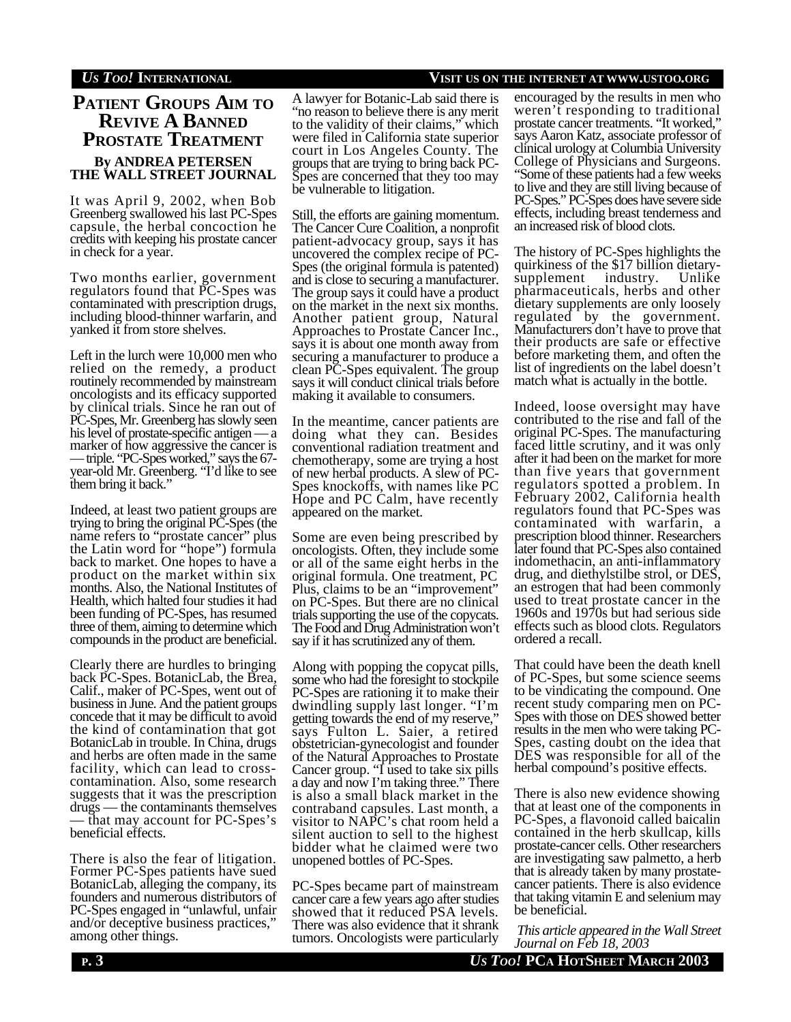## **PATIENT GROUPS AIM TO REVIVE A BANNED PROSTATE TREATMENT By ANDREA PETERSEN THE WALL STREET JOURNAL**

It was April 9, 2002, when Bob Greenberg swallowed his last PC-Spes capsule, the herbal concoction he credits with keeping his prostate cancer in check for a year.

Two months earlier, government regulators found that PC-Spes was contaminated with prescription drugs, including blood-thinner warfarin, and yanked it from store shelves.

Left in the lurch were 10,000 men who relied on the remedy, a product routinely recommended by mainstream oncologists and its efficacy supported by clinical trials. Since he ran out of PC-Spes, Mr. Greenberg has slowly seen his level of prostate-specific antigen — a marker of how aggressive the cancer is — triple. "PC-Spes worked," says the 67 year-old Mr. Greenberg. "I'd like to see them bring it back."

Indeed, at least two patient groups are trying to bring the original PC-Spes (the name refers to "prostate cancer" plus the Latin word for "hope") formula back to market. One hopes to have a product on the market within six months. Also, the National Institutes of Health, which halted four studies it had been funding of PC-Spes, has resumed three of them, aiming to determine which compounds in the product are beneficial.

Clearly there are hurdles to bringing back PC-Spes. BotanicLab, the Brea, Calif., maker of PC-Spes, went out of business in June. And the patient groups concede that it may be difficult to avoid the kind of contamination that got BotanicLab in trouble. In China, drugs and herbs are often made in the same facility, which can lead to crosscontamination. Also, some research suggests that it was the prescription drugs — the contaminants themselves — that may account for PC-Spes's beneficial effects.

There is also the fear of litigation. Former PC-Spes patients have sued BotanicLab, alleging the company, its founders and numerous distributors of PC-Spes engaged in "unlawful, unfair and/or deceptive business practices," among other things.

A lawyer for Botanic-Lab said there is "no reason to believe there is any merit to the validity of their claims," which were filed in California state superior court in Los Angeles County. The groups that are trying to bring back PC-Spes are concerned that they too may be vulnerable to litigation.

Still, the efforts are gaining momentum. The Cancer Cure Coalition, a nonprofit patient-advocacy group, says it has uncovered the complex recipe of PC-Spes (the original formula is patented) and is close to securing a manufacturer. The group says it could have a product on the market in the next six months. Another patient group, Natural Approaches to Prostate Cancer Inc., says it is about one month away from securing a manufacturer to produce a clean PC-Spes equivalent. The group says it will conduct clinical trials before making it available to consumers.

In the meantime, cancer patients are doing what they can. Besides conventional radiation treatment and chemotherapy, some are trying a host of new herbal products. A slew of PC-Spes knockoffs, with names like PC Hope and PC Calm, have recently appeared on the market.

Some are even being prescribed by oncologists. Often, they include some or all of the same eight herbs in the original formula. One treatment, PC Plus, claims to be an "improvement" on PC-Spes. But there are no clinical trials supporting the use of the copycats. The Food and Drug Administration won't say if it has scrutinized any of them.

Along with popping the copycat pills, some who had the foresight to stockpile PC-Spes are rationing it to make their dwindling supply last longer. "I'm getting towards the end of my reserve," says Fulton L. Saier, a retired obstetrician-gynecologist and founder of the Natural Approaches to Prostate Cancer group. "I used to take six pills a day and now I'm taking three." There is also a small black market in the contraband capsules. Last month, a visitor to NAPC's chat room held a silent auction to sell to the highest bidder what he claimed were two unopened bottles of PC-Spes.

PC-Spes became part of mainstream cancer care a few years ago after studies showed that it reduced PSA levels. There was also evidence that it shrank tumors. Oncologists were particularly

#### *US TOO!* **INTERNATIONAL VISIT US ON THE INTERNET AT WWW.USTOO.ORG**

encouraged by the results in men who weren't responding to traditional prostate cancer treatments. "It worked," says Aaron Katz, associate professor of clinical urology at Columbia University College of Physicians and Surgeons. "Some of these patients had a few weeks to live and they are still living because of PC-Spes." PC-Spes does have severe side effects, including breast tenderness and an increased risk of blood clots.

The history of PC-Spes highlights the quirkiness of the \$17 billion dietarysupplement industry. Unlike pharmaceuticals, herbs and other dietary supplements are only loosely regulated by the government. Manufacturers don't have to prove that their products are safe or effective before marketing them, and often the list of ingredients on the label doesn't match what is actually in the bottle.

Indeed, loose oversight may have contributed to the rise and fall of the original PC-Spes. The manufacturing faced little scrutiny, and it was only after it had been on the market for more than five years that government regulators spotted a problem. In February 2002, California health regulators found that PC-Spes was contaminated with warfarin, a prescription blood thinner. Researchers later found that PC-Spes also contained indomethacin, an anti-inflammatory drug, and diethylstilbe strol, or DES, an estrogen that had been commonly used to treat prostate cancer in the 1960s and 1970s but had serious side effects such as blood clots. Regulators ordered a recall.

That could have been the death knell of PC-Spes, but some science seems to be vindicating the compound. One recent study comparing men on PC-Spes with those on DES showed better results in the men who were taking PC-Spes, casting doubt on the idea that DES was responsible for all of the herbal compound's positive effects.

There is also new evidence showing that at least one of the components in PC-Spes, a flavonoid called baicalin contained in the herb skullcap, kills prostate-cancer cells. Other researchers are investigating saw palmetto, a herb that is already taken by many prostatecancer patients. There is also evidence that taking vitamin E and selenium may be beneficial.

 *This article appeared in the Wall Street Journal on Feb 18, 2003*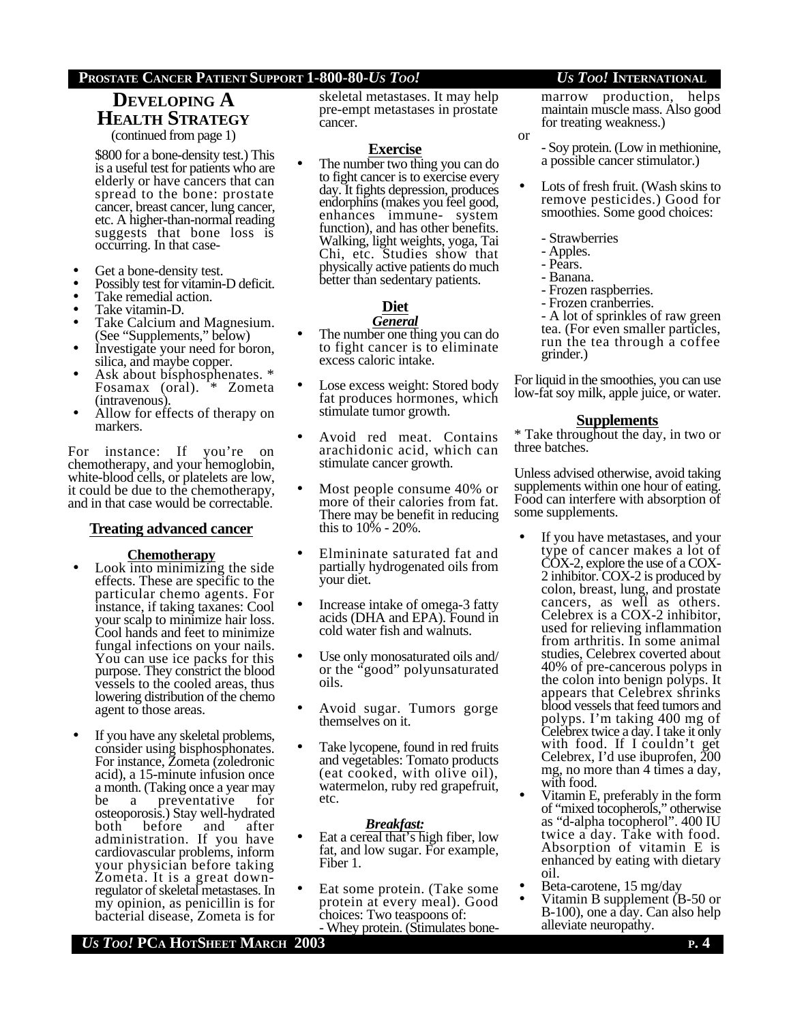## **DEVELOPING A HEALTH STRATEGY**

(continued from page 1)

\$800 for a bone-density test.) This is a useful test for patients who are elderly or have cancers that can spread to the bone: prostate cancer, breast cancer, lung cancer, etc. A higher-than-normal reading suggests that bone loss is occurring. In that case-

- Get a bone-density test.
- Possibly test for vitamin-D deficit.
- Take remedial action.
- Take vitamin-D.
- Take Calcium and Magnesium. (See "Supplements," below)
- Investigate your need for boron, silica, and maybe copper.
- Ask about bisphosphenates.  $*$ Fosamax (oral). \* Zometa (intravenous).
- Allow for effects of therapy on markers.

For instance: If you're on chemotherapy, and your hemoglobin, white-blood cells, or platelets are low, it could be due to the chemotherapy, and in that case would be correctable.

#### **Treating advanced cancer**

#### **Chemotherapy**

- Look into minimizing the side effects. These are specific to the particular chemo agents. For instance, if taking taxanes: Cool your scalp to minimize hair loss. Cool hands and feet to minimize fungal infections on your nails. You can use ice packs for this purpose. They constrict the blood vessels to the cooled areas, thus lowering distribution of the chemo agent to those areas.
- If you have any skeletal problems, consider using bisphosphonates. For instance, Zometa (zoledronic acid), a 15-minute infusion once a month. (Taking once a year may<br>be a preventative for be a preventative osteoporosis.) Stay well-hydrated both before and after administration. If you have cardiovascular problems, inform your physician before taking Zometa. It is a great downregulator of skeletal metastases. In my opinion, as penicillin is for bacterial disease, Zometa is for

skeletal metastases. It may help pre-empt metastases in prostate cancer.

#### **Exercise**

The number two thing you can do to fight cancer is to exercise every day. It fights depression, produces endorphins (makes you feel good, enhances immune- system function), and has other benefits. Walking, light weights, yoga, Tai Chi, etc. Studies show that physically active patients do much better than sedentary patients.

## **Diet**

- *General* The number one thing you can do to fight cancer is to eliminate excess caloric intake.
- Lose excess weight: Stored body fat produces hormones, which stimulate tumor growth.
- Avoid red meat. Contains arachidonic acid, which can stimulate cancer growth.
- Most people consume 40% or more of their calories from fat. There may be benefit in reducing this to 10% - 20%.
- Elmininate saturated fat and partially hydrogenated oils from your diet.
- Increase intake of omega-3 fatty acids (DHA and EPA). Found in cold water fish and walnuts.
- Use only monosaturated oils and/ or the "good" polyunsaturated oils.
- Avoid sugar. Tumors gorge themselves on it.
- Take lycopene, found in red fruits and vegetables: Tomato products (eat cooked, with olive oil), watermelon, ruby red grapefruit, etc.

#### *Breakfast:*

- Eat a cereal that's high fiber, low fat, and low sugar. For example, Fiber 1.
- Eat some protein. (Take some protein at every meal). Good choices: Two teaspoons of: - Whey protein. (Stimulates bone-

marrow production, helps maintain muscle mass. Also good for treating weakness.)

- Soy protein. (Low in methionine, a possible cancer stimulator.)

- Lots of fresh fruit. (Wash skins to remove pesticides.) Good for smoothies. Some good choices:
	- Strawberries
	- Apples.
	- Pears.

or

- 
- Banana.
- Frozen raspberries. - Frozen cranberries.

- A lot of sprinkles of raw green tea. (For even smaller particles, run the tea through a coffee grinder.)

For liquid in the smoothies, you can use low-fat soy milk, apple juice, or water.

#### **Supplements**

\* Take throughout the day, in two or three batches.

Unless advised otherwise, avoid taking supplements within one hour of eating. Food can interfere with absorption of some supplements.

- If you have metastases, and your type of cancer makes a lot of COX-2, explore the use of a COX-2 inhibitor. COX-2 is produced by colon, breast, lung, and prostate cancers, as well as others. Celebrex is a COX-2 inhibitor, used for relieving inflammation from arthritis. In some animal studies, Celebrex coverted about 40% of pre-cancerous polyps in the colon into benign polyps. It appears that Celebrex shrinks blood vessels that feed tumors and polyps. I'm taking 400 mg of Celebrex twice a day. I take it only with food. If I couldn't get Celebrex, I'd use ibuprofen, 200 mg, no more than 4 times a day, with food.
- Vitamin E, preferably in the form of "mixed tocopherols," otherwise as "d-alpha tocopherol". 400 IU twice a day. Take with food. Absorption of vitamin E is enhanced by eating with dietary oil.
- Beta-carotene, 15 mg/day
- Vitamin B supplement (B-50 or B-100), one a day. Can also help alleviate neuropathy.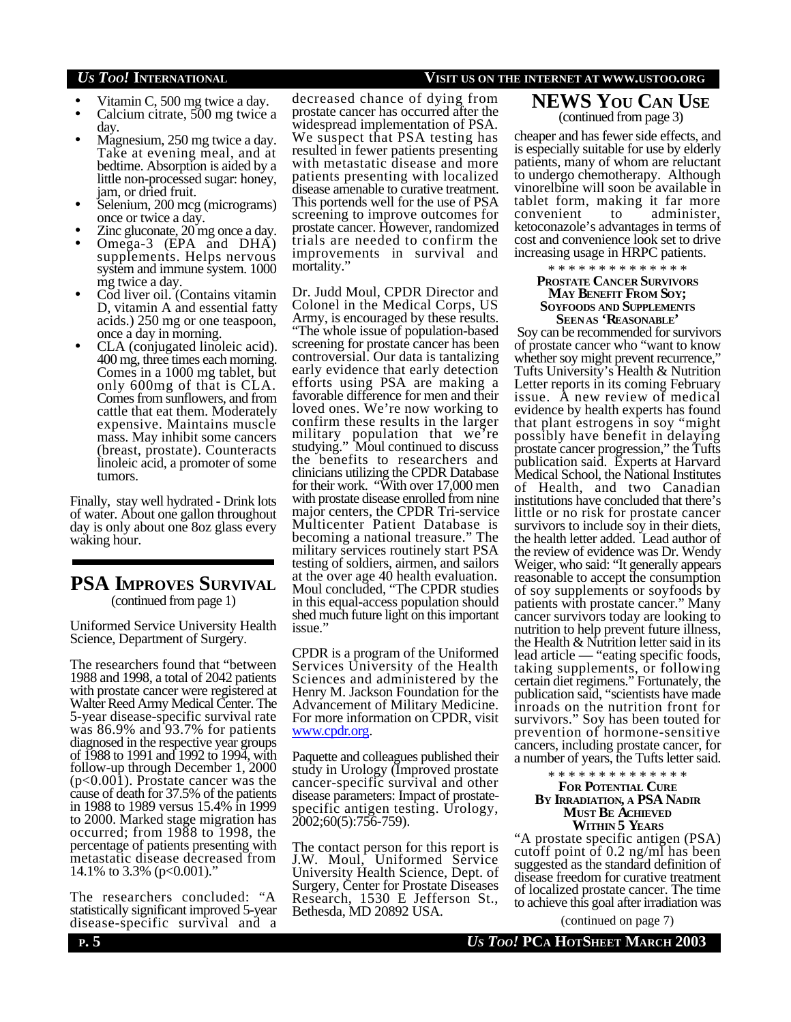- Vitamin C, 500 mg twice a day.
- Calcium citrate, 500 mg twice a day.
- Magnesium, 250 mg twice a day. Take at evening meal, and at bedtime. Absorption is aided by a little non-processed sugar: honey, jam, or dried fruit.
- Selenium, 200 mcg (micrograms) once or twice a day.
- Zinc gluconate, 20 mg once a day.
- Omega-3 (EPA and DHA) supplements. Helps nervous system and immune system. 1000 mg twice a day.
- Cod liver oil. (Contains vitamin D, vitamin A and essential fatty acids.) 250 mg or one teaspoon, once a day in morning.
- CLA (conjugated linoleic acid). 400 mg, three times each morning. Comes in a 1000 mg tablet, but only 600mg of that is CLA. Comes from sunflowers, and from cattle that eat them. Moderately expensive. Maintains muscle mass. May inhibit some cancers (breast, prostate). Counteracts linoleic acid, a promoter of some tumors.

Finally, stay well hydrated - Drink lots of water. About one gallon throughout day is only about one 8oz glass every waking hour.

### **PSA IMPROVES SURVIVAL** (continued from page 1)

Uniformed Service University Health Science, Department of Surgery.

The researchers found that "between 1988 and 1998, a total of 2042 patients with prostate cancer were registered at Walter Reed Army Medical Center. The 5-year disease-specific survival rate was 86.9% and 93.7% for patients diagnosed in the respective year groups of 1988 to 1991 and 1992 to 1994, with follow-up through December 1, 2000 (p<0.001). Prostate cancer was the cause of death for 37.5% of the patients in 1988 to 1989 versus 15.4% in 1999 to 2000. Marked stage migration has occurred; from 1988 to 1998, the percentage of patients presenting with metastatic disease decreased from 14.1% to 3.3% (p<0.001)."

The researchers concluded: "A statistically significant improved 5-year disease-specific survival and a

decreased chance of dying from prostate cancer has occurred after the widespread implementation of PSA. We suspect that PSA testing has resulted in fewer patients presenting with metastatic disease and more patients presenting with localized disease amenable to curative treatment. This portends well for the use of PSA screening to improve outcomes for prostate cancer. However, randomized trials are needed to confirm the improvements in survival and mortality.

Dr. Judd Moul, CPDR Director and Colonel in the Medical Corps, US Army, is encouraged by these results. "The whole issue of population-based screening for prostate cancer has been controversial. Our data is tantalizing early evidence that early detection efforts using PSA are making a favorable difference for men and their loved ones. We're now working to confirm these results in the larger military population that we're studying." Moul continued to discuss the benefits to researchers and clinicians utilizing the CPDR Database for their work. "With over 17,000 men with prostate disease enrolled from nine major centers, the CPDR Tri-service Multicenter Patient Database is<br>becoming a national treasure." The becoming a national treasure." military services routinely start PSA testing of soldiers, airmen, and sailors at the over age 40 health evaluation. Moul concluded, "The CPDR studies in this equal-access population should shed much future light on this important issue."

CPDR is a program of the Uniformed Services University of the Health Sciences and administered by the Henry M. Jackson Foundation for the Advancement of Military Medicine. For more information on CPDR, visit www.cpdr.org.

Paquette and colleagues published their study in Urology (Improved prostate cancer-specific survival and other disease parameters: Impact of prostatespecific antigen testing. Urology, 2002;60(5):756-759).

The contact person for this report is J.W. Moul, Uniformed Service University Health Science, Dept. of Surgery, Center for Prostate Diseases Research, 1530 E Jefferson St., Bethesda, MD 20892 USA.

### *US TOO!* **INTERNATIONAL VISIT US ON THE INTERNET AT WWW.USTOO.ORG**

**NEWS YOU CAN USE** (continued from page 3)

cheaper and has fewer side effects, and is especially suitable for use by elderly patients, many of whom are reluctant to undergo chemotherapy. Although vinorelbine will soon be available in tablet form, making it far more convenient to administer, ketoconazole's advantages in terms of cost and convenience look set to drive increasing usage in HRPC patients.

\* \* \* \* \* \* \* \* \* \* \* \* \* \*

#### **PROSTATE CANCER SURVIVORS MAY BENEFIT FROM SOY; SOYFOODS AND SUPPLEMENTS SEENAS 'REASONABLE'**

 Soy can be recommended for survivors of prostate cancer who "want to know whether soy might prevent recurrence," Tufts University's Health & Nutrition Letter reports in its coming February issue. A new review of medical evidence by health experts has found that plant estrogens in soy "might possibly have benefit in delaying prostate cancer progression," the Tufts publication said. Experts at Harvard Medical School, the National Institutes of Health, and two Canadian institutions have concluded that there's little or no risk for prostate cancer survivors to include soy in their diets, the health letter added. Lead author of the review of evidence was Dr. Wendy Weiger, who said: "It generally appears reasonable to accept the consumption of soy supplements or soyfoods by patients with prostate cancer." Many cancer survivors today are looking to nutrition to help prevent future illness, the Health & Nutrition letter said in its lead article — "eating specific foods, taking supplements, or following certain diet regimens." Fortunately, the publication said, "scientists have made inroads on the nutrition front for survivors." Soy has been touted for prevention of hormone-sensitive cancers, including prostate cancer, for a number of years, the Tufts letter said.

#### \* \* \* \* \* \* \* \* \* \* \* \* \* \* **FOR POTENTIAL CURE BY IRRADIATION, A PSA NADIR MUST BE ACHIEVED WITHIN 5 YEARS**

"A prostate specific antigen (PSA) cutoff point of 0.2 ng/ml has been suggested as the standard definition of disease freedom for curative treatment of localized prostate cancer. The time to achieve this goal after irradiation was

(continued on page 7)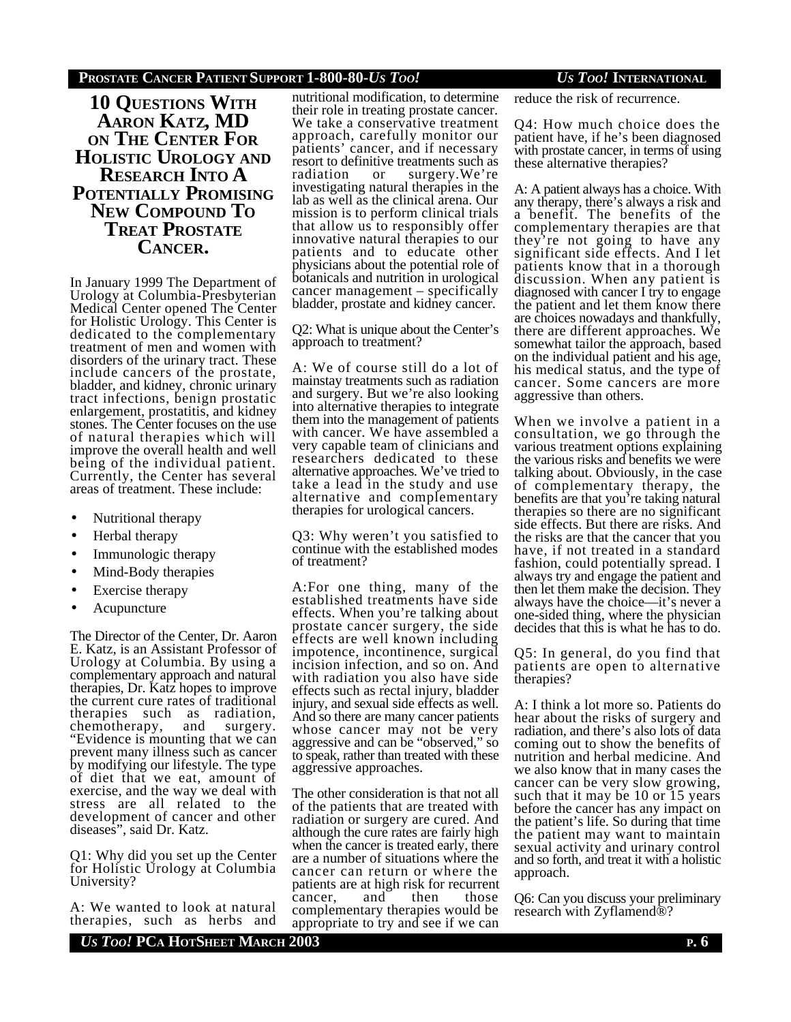**10 QUESTIONS WITH AARON KATZ, MD ON THE CENTER FOR HOLISTIC UROLOGY AND RESEARCH INTO A POTENTIALLY PROMISING NEW COMPOUND TO TREAT PROSTATE CANCER.**

In January 1999 The Department of Urology at Columbia-Presbyterian Medical Center opened The Center for Holistic Urology. This Center is dedicated to the complementary treatment of men and women with disorders of the urinary tract. These include cancers of the prostate, bladder, and kidney, chronic urinary tract infections, benign prostatic enlargement, prostatitis, and kidney stones. The Center focuses on the use of natural therapies which will improve the overall health and well being of the individual patient. Currently, the Center has several areas of treatment. These include:

- Nutritional therapy
- Herbal therapy
- Immunologic therapy
- Mind-Body therapies
- Exercise therapy
- **Acupuncture**

The Director of the Center, Dr. Aaron E. Katz, is an Assistant Professor of Urology at Columbia. By using a complementary approach and natural therapies, Dr. Katz hopes to improve the current cure rates of traditional therapies such as radiation, chemotherapy, and surgery. chemotherapy, and surgery.<br>"Evidence is mounting that we can prevent many illness such as cancer by modifying our lifestyle. The type of diet that we eat, amount of exercise, and the way we deal with stress are all related to the development of cancer and other diseases", said Dr. Katz.

Q1: Why did you set up the Center for Holistic Urology at Columbia University?

A: We wanted to look at natural therapies, such as herbs and

nutritional modification, to determine their role in treating prostate cancer. We take a conservative treatment approach, carefully monitor our patients' cancer, and if necessary resort to definitive treatments such as radiation or surgery.We're investigating natural therapies in the lab as well as the clinical arena. Our mission is to perform clinical trials that allow us to responsibly offer innovative natural therapies to our patients and to educate other physicians about the potential role of botanicals and nutrition in urological cancer management – specifically bladder, prostate and kidney cancer.

Q2: What is unique about the Center's approach to treatment?

A: We of course still do a lot of mainstay treatments such as radiation and surgery. But we're also looking into alternative therapies to integrate them into the management of patients with cancer. We have assembled a very capable team of clinicians and researchers dedicated to these alternative approaches. We've tried to take a lead in the study and use alternative and complementary therapies for urological cancers.

Q3: Why weren't you satisfied to continue with the established modes of treatment?

A:For one thing, many of the established treatments have side effects. When you're talking about prostate cancer surgery, the side effects are well known including impotence, incontinence, surgical incision infection, and so on. And with radiation you also have side effects such as rectal injury, bladder injury, and sexual side effects as well. And so there are many cancer patients whose cancer may not be very aggressive and can be "observed," so to speak, rather than treated with these aggressive approaches.

The other consideration is that not all of the patients that are treated with radiation or surgery are cured. And although the cure rates are fairly high when the cancer is treated early, there are a number of situations where the cancer can return or where the patients are at high risk for recurrent cancer, and then those complementary therapies would be appropriate to try and see if we can

reduce the risk of recurrence.

Q4: How much choice does the patient have, if he's been diagnosed with prostate cancer, in terms of using these alternative therapies?

A: A patient always has a choice. With any therapy, there's always a risk and a benefit. The benefits of the complementary therapies are that they're not going to have any significant side effects. And I let patients know that in a thorough discussion. When any patient is diagnosed with cancer I try to engage the patient and let them know there are choices nowadays and thankfully, there are different approaches. We somewhat tailor the approach, based on the individual patient and his age, his medical status, and the type of cancer. Some cancers are more aggressive than others.

When we involve a patient in a consultation, we go through the various treatment options explaining the various risks and benefits we were talking about. Obviously, in the case of complementary therapy, the benefits are that you're taking natural therapies so there are no significant side effects. But there are risks. And the risks are that the cancer that you have, if not treated in a standard fashion, could potentially spread. I always try and engage the patient and then let them make the decision. They always have the choice—it's never a one-sided thing, where the physician decides that this is what he has to do.

Q5: In general, do you find that patients are open to alternative therapies?

A: I think a lot more so. Patients do hear about the risks of surgery and radiation, and there's also lots of data coming out to show the benefits of nutrition and herbal medicine. And we also know that in many cases the cancer can be very slow growing, such that it may be 10 or 15 years before the cancer has any impact on the patient's life. So during that time the patient may want to maintain sexual activity and urinary control and so forth, and treat it with a holistic approach.

Q6: Can you discuss your preliminary research with Zyflamend®?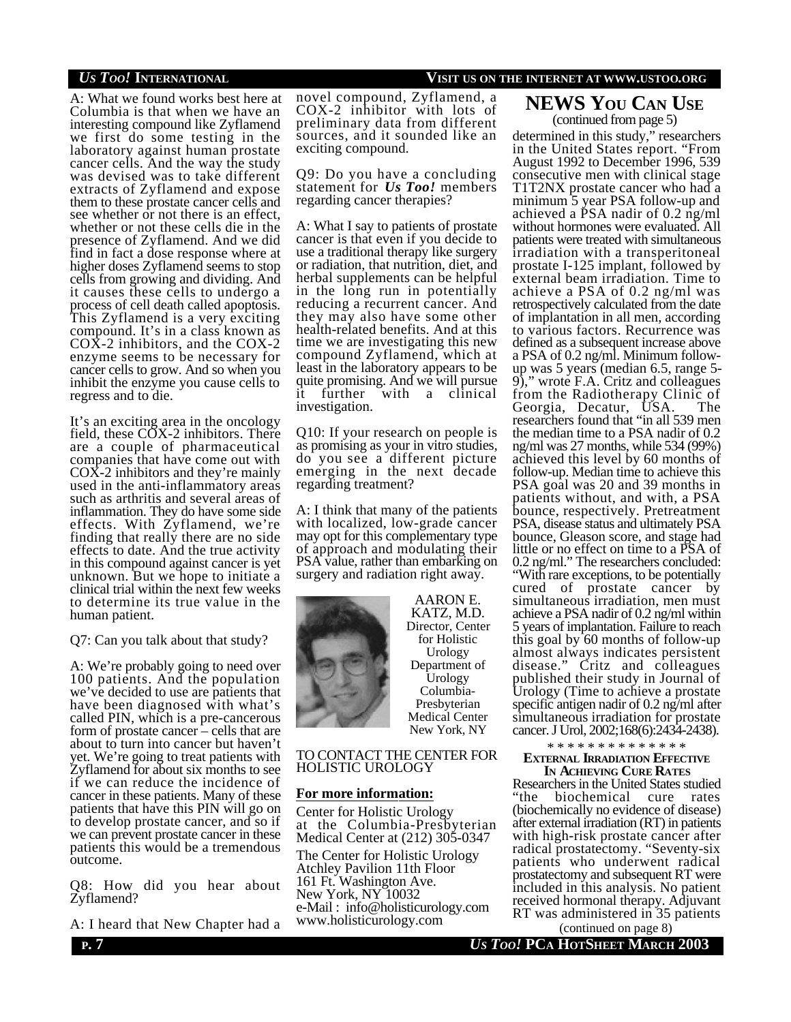A: What we found works best here at Columbia is that when we have an interesting compound like Zyflamend we first do some testing in the laboratory against human prostate cancer cells. And the way the study was devised was to take different extracts of Zyflamend and expose them to these prostate cancer cells and see whether or not there is an effect, whether or not these cells die in the presence of Zyflamend. And we did find in fact a dose response where at higher doses Zyflamend seems to stop cells from growing and dividing. And it causes these cells to undergo a process of cell death called apoptosis. This Zyflamend is a very exciting compound. It's in a class known as COX-2 inhibitors, and the COX-2 enzyme seems to be necessary for cancer cells to grow. And so when you inhibit the enzyme you cause cells to regress and to die.

It's an exciting area in the oncology field, these COX-2 inhibitors. There are a couple of pharmaceutical companies that have come out with COX-2 inhibitors and they're mainly used in the anti-inflammatory areas such as arthritis and several areas of inflammation. They do have some side effects. With Zyflamend, we're finding that really there are no side effects to date. And the true activity in this compound against cancer is yet unknown. But we hope to initiate a clinical trial within the next few weeks to determine its true value in the human patient.

#### Q7: Can you talk about that study?

A: We're probably going to need over 100 patients. And the population we've decided to use are patients that have been diagnosed with what's called PIN, which is a pre-cancerous form of prostate cancer – cells that are about to turn into cancer but haven't yet. We're going to treat patients with Zyflamend for about six months to see if we can reduce the incidence of cancer in these patients. Many of these patients that have this PIN will go on to develop prostate cancer, and so if we can prevent prostate cancer in these patients this would be a tremendous outcome.

Q8: How did you hear about Zyflamend?

A: I heard that New Chapter had a

#### novel compound, Zyflamend, a COX-2 inhibitor with lots of preliminary data from different sources, and it sounded like an exciting compound.

Q9: Do you have a concluding statement for *Us Too!* members regarding cancer therapies?

A: What I say to patients of prostate cancer is that even if you decide to use a traditional therapy like surgery or radiation, that nutrition, diet, and herbal supplements can be helpful in the long run in potentially reducing a recurrent cancer. And they may also have some other health-related benefits. And at this time we are investigating this new compound Zyflamend, which at least in the laboratory appears to be quite promising. And we will pursue it further with a clinical investigation.

Q10: If your research on people is as promising as your in vitro studies, do you see a different picture emerging in the next decade regarding treatment?

A: I think that many of the patients with localized, low-grade cancer may opt for this complementary type of approach and modulating their PSA value, rather than embarking on surgery and radiation right away.



AARON E. KATZ, M.D. Director, Center for Holistic Urology Department of Urology Columbia-Presbyterian Medical Center New York, NY

#### TO CONTACT THE CENTER FOR HOLISTIC UROLOGY

#### **For more information:**

Center for Holistic Urology at the Columbia-Presbyterian Medical Center at (212) 305-0347

The Center for Holistic Urology Atchley Pavilion 11th Floor 161 Ft. Washington Ave. New York, NY 10032 e-Mail : info@holisticurology.com www.holisticurology.com

### *US TOO!* **INTERNATIONAL VISIT US ON THE INTERNET AT WWW.USTOO.ORG**

#### **NEWS YOU CAN USE** (continued from page 5)

determined in this study," researchers in the United States report. "From August 1992 to December 1996, 539 consecutive men with clinical stage T1T2NX prostate cancer who had a minimum 5 year PSA follow-up and achieved a PSA nadir of 0.2 ng/ml without hormones were evaluated. All patients were treated with simultaneous irradiation with a transperitoneal prostate I-125 implant, followed by external beam irradiation. Time to achieve a PSA of 0.2 ng/ml was retrospectively calculated from the date of implantation in all men, according to various factors. Recurrence was defined as a subsequent increase above a PSA of 0.2 ng/ml. Minimum followup was 5 years (median 6.5, range 5- 9)," wrote F.A. Critz and colleagues from the Radiotherapy Clinic of Georgia, Decatur, USA. The researchers found that "in all 539 men the median time to a PSA nadir of 0.2 ng/ml was 27 months, while 534 (99%) achieved this level by 60 months of follow-up. Median time to achieve this PSA goal was 20 and 39 months in patients without, and with, a PSA bounce, respectively. Pretreatment PSA, disease status and ultimately PSA bounce, Gleason score, and stage had little or no effect on time to a PSA of 0.2 ng/ml." The researchers concluded: "With rare exceptions, to be potentially cured of prostate cancer by simultaneous irradiation, men must achieve a PSA nadir of 0.2 ng/ml within 5 years of implantation. Failure to reach this goal by 60 months of follow-up almost always indicates persistent disease." Critz and colleagues published their study in Journal of Urology (Time to achieve a prostate specific antigen nadir of 0.2 ng/ml after simultaneous irradiation for prostate cancer. J Urol, 2002;168(6):2434-2438).

### \* \* \* \* \* \* \* \* \* \* \* \* \* \*

#### **EXTERNAL IRRADIATION EFFECTIVE IN ACHIEVING CURE RATES**

Researchers in the United States studied "the biochemical cure rates (biochemically no evidence of disease) after external irradiation (RT) in patients with high-risk prostate cancer after radical prostatectomy. "Seventy-six patients who underwent radical prostatectomy and subsequent RT were included in this analysis. No patient received hormonal therapy. Adjuvant RT was administered in 35 patients

(continued on page 8)